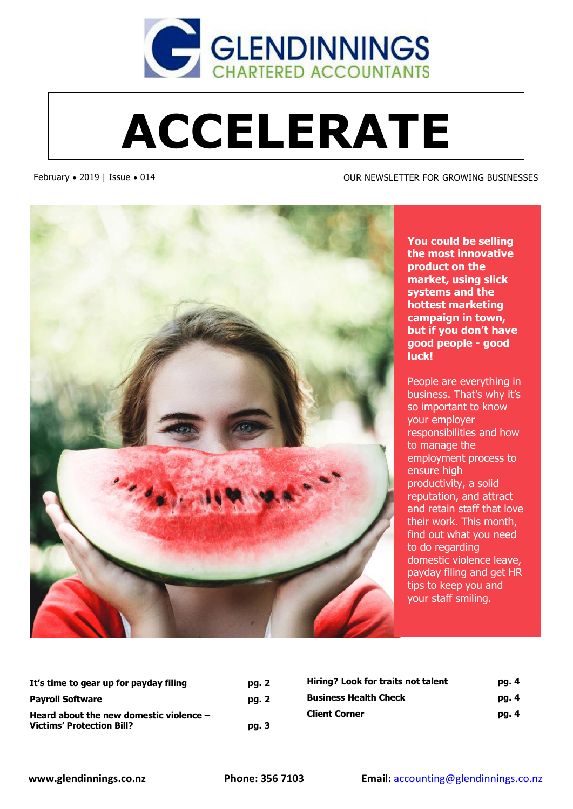

# **ACCELERATE**

February • 2019 | Issue • 014 OUR NEWSLETTER FOR GROWING BUSINESSES



**You could be selling the most innovative product on the market, using slick systems and the hottest marketing campaign in town, but if you don't have good people - good luck!** 

People are everything in business. That's why it's so important to know your employer responsibilities and how to manage the employment process to ensure high productivity, a solid reputation, and attract and retain staff that love their work. This month, find out what you need to do regarding domestic violence leave, payday filing and get HR tips to keep you and your staff smiling.

**It's time to gear up for payday filing pg. 2 Payroll Software pg. 2 Heard about the new domestic violence – Victims' Protection Bill? pg. 3**

| Hiring? Look for traits not talent | pg. 4 |
|------------------------------------|-------|
| <b>Business Health Check</b>       | pg. 4 |
| <b>Client Corner</b>               | pg. 4 |
|                                    |       |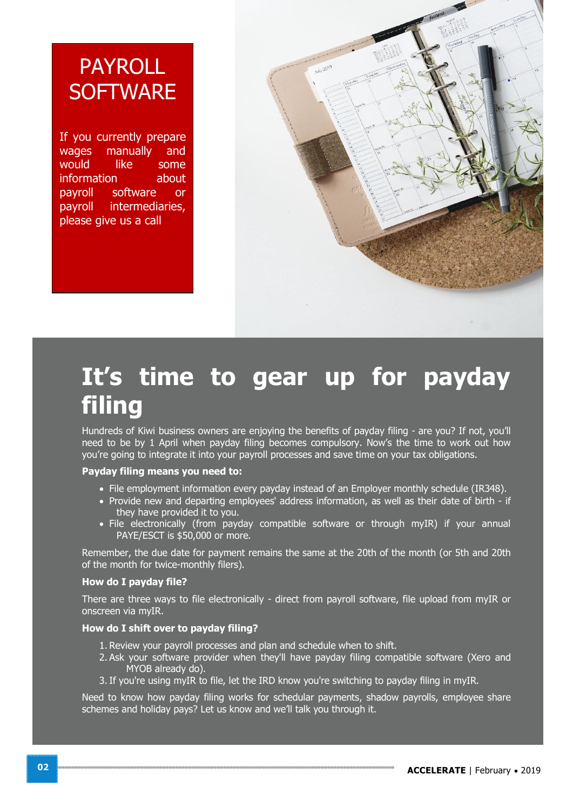### PAYROLL **SOFTWARE**

If you currently prepare wages manually and would like some information about payroll software or payroll intermediaries, please give us a call



### **It's time to gear up for payday filing**

Hundreds of Kiwi business owners are enjoying the benefits of payday filing - are you? If not, you'll need to be by 1 April when payday filing becomes compulsory. Now's the time to work out how you're going to integrate it into your payroll processes and save time on your tax obligations.

#### **Payday filing means you need to:**

- · File employment information every payday instead of an Employer monthly schedule (IR348).
- · Provide new and departing employees' address information, as well as their date of birth if they have provided it to you.
- File electronically (from payday compatible software or through myIR) if your annual PAYE/ESCT is \$50,000 or more.

Remember, the due date for payment remains the same at the 20th of the month (or 5th and 20th of the month for twice-monthly filers).

#### **How do I payday file?**

There are three ways to file electronically - direct from payroll software, file upload from myIR or onscreen via myIR.

#### **How do I shift over to payday filing?**

- 1. Review your payroll processes and plan and schedule when to shift.
- 2. Ask your software provider when they'll have payday filing compatible software (Xero and MYOB already do).
- 3.If you're using myIR to file, let the IRD know you're switching to payday filing in myIR.

Need to know how payday filing works for schedular payments, shadow payrolls, employee share schemes and holiday pays? Let us know and we'll talk you through it.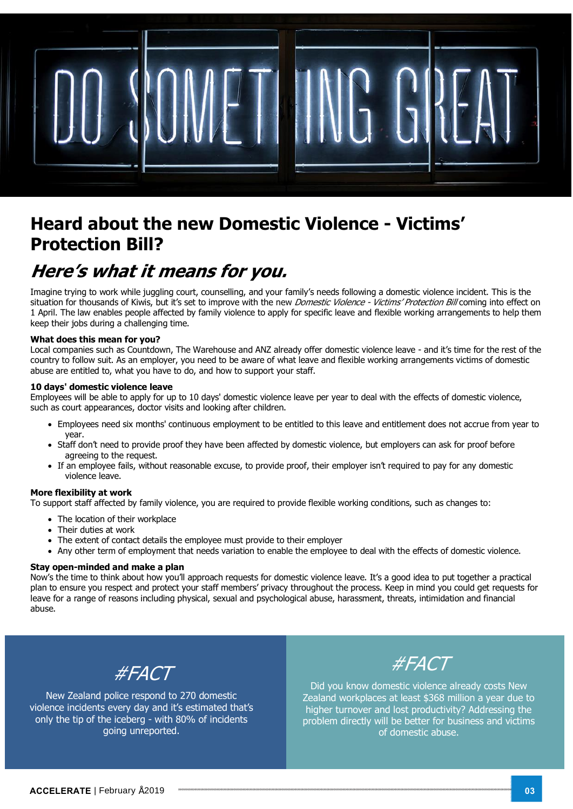

### **Heard about the new Domestic Violence - Victims' Protection Bill?**

### **Here's what it means for you.**

Imagine trying to work while juggling court, counselling, and your family's needs following a domestic violence incident. This is the situation for thousands of Kiwis, but it's set to improve with the new *Domestic Violence - Victims' Protection Bill* coming into effect on 1 April. The law enables people affected by family violence to apply for specific leave and flexible working arrangements to help them keep their jobs during a challenging time.

#### **What does this mean for you?**

Local companies such as Countdown, The Warehouse and ANZ already offer domestic violence leave - and it's time for the rest of the country to follow suit. As an employer, you need to be aware of what leave and flexible working arrangements victims of domestic abuse are entitled to, what you have to do, and how to support your staff.

#### **10 days' domestic violence leave**

Employees will be able to apply for up to 10 days' domestic violence leave per year to deal with the effects of domestic violence, such as court appearances, doctor visits and looking after children.

- · Employees need six months' continuous employment to be entitled to this leave and entitlement does not accrue from year to year.
- · Staff don't need to provide proof they have been affected by domestic violence, but employers can ask for proof before agreeing to the request.
- · If an employee fails, without reasonable excuse, to provide proof, their employer isn't required to pay for any domestic violence leave.

#### **More flexibility at work**

To support staff affected by family violence, you are required to provide flexible working conditions, such as changes to:

- · The location of their workplace
- · Their duties at work
- The extent of contact details the employee must provide to their employer
- · Any other term of employment that needs variation to enable the employee to deal with the effects of domestic violence.

#### **Stay open-minded and make a plan**

Now's the time to think about how you'll approach requests for domestic violence leave. It's a good idea to put together a practical plan to ensure you respect and protect your staff members' privacy throughout the process. Keep in mind you could get requests for leave for a range of reasons including physical, sexual and psychological abuse, harassment, threats, intimidation and financial abuse.



New Zealand police respond to 270 domestic violence incidents every day and it's estimated that's only the tip of the iceberg - with 80% of incidents going unreported.



Did you know domestic violence already costs New Zealand workplaces at least \$368 million a year due to higher turnover and lost productivity? Addressing the problem directly will be better for business and victims of domestic abuse.